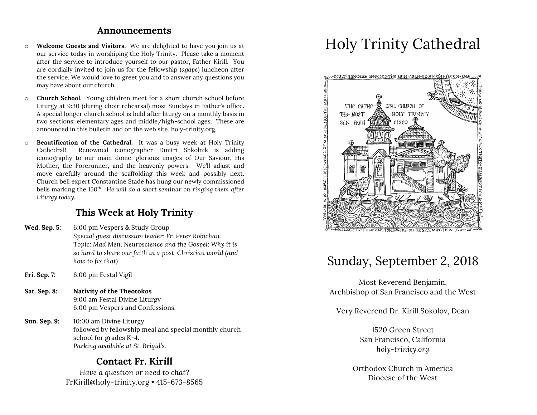### **Announcements**

- o **Welcome Guests and Visitors.** We are delighted to have you join us at our service today in worshiping the Holy Trinity. Please take a moment after the service to introduce yourself to our pastor, Father Kirill. You are cordially invited to join us for the fellowship (*agape*) luncheon after the service. We would love to greet you and to answer any questions you may have about our church.
- o **Church School.** Young children meet for a short church school before Liturgy at 9:30 (during choir rehearsal) most Sundays in Father's office. A special longer church school is held after liturgy on a monthly basis in two sections: elementary ages and middle/high-school ages. These are announced in this bulletin and on the web site, holy-trinity.org.
- o **Beautification of the Cathedral.** It was a busy week at Holy Trinity Cathedral! Renowned iconographer Dmitri Shkolnik is adding iconography to our main dome: glorious images of Our Saviour, His Mother, the Forerunner, and the heavenly powers. We'll adjust and move carefully around the scaffolding this week and possibly next. Church bell expert Constantine Stade has hung our newly commissioned bells marking the 150th. *He will do a short seminar on ringing them after Liturgy today.*

## **This Week at Holy Trinity**

- **Wed. Sep. 5:** 6:00 pm Vespers & Study Group *Special guest discussion leader: Fr. Peter Robichau. Topic: Mad Men, Neuroscience and the Gospel: Why it is so hard to share our faith in a post-Christian world (and how to fix that)*
- **Fri. Sep. 7:** 6:00 pm Festal Vigil
- **Sat. Sep. 8: Nativity of the Theotokos** 9:00 am Festal Divine Liturgy 6:00 pm Vespers and Confessions.
- **Sun. Sep. 9:** 10:00 am Divine Liturgy followed by fellowship meal and special monthly church school for grades K-4. *Parking available at St. Brigid's.*

# **Contact Fr. Kirill**

*Have a question or need to chat?* FrKirill@holy-trinity.org • 415-673-8565

# Holy Trinity Cathedral



# Sunday, September 2, 2018

Most Reverend Benjamin, Archbishop of San Francisco and the West

Very Reverend Dr. Kirill Sokolov, Dean

1520 Green Street San Francisco, California *holy-trinity.org*

Orthodox Church in America Diocese of the West